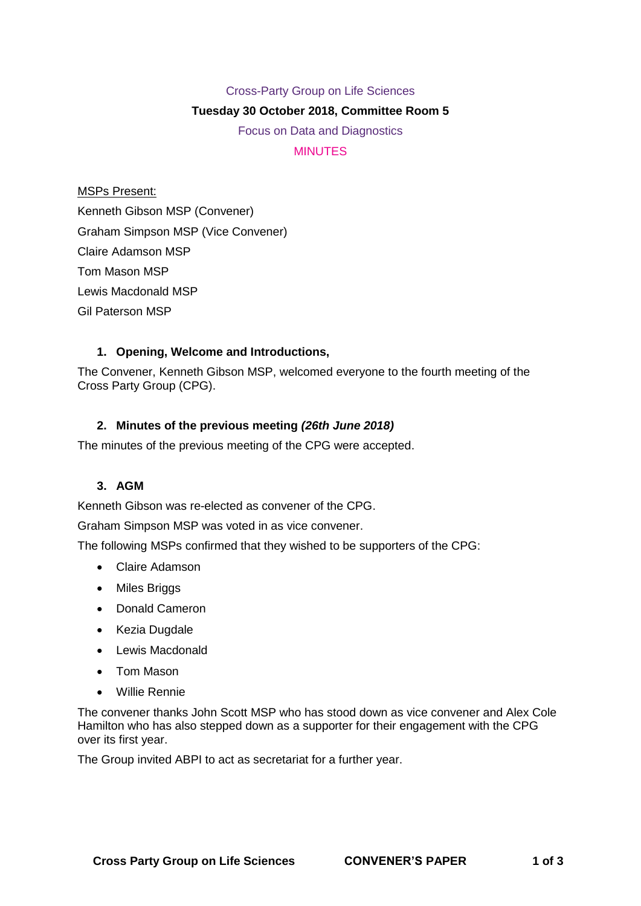## Cross-Party Group on Life Sciences

## **Tuesday 30 October 2018, Committee Room 5**

Focus on Data and Diagnostics **MINUTES** 

MSPs Present: Kenneth Gibson MSP (Convener) Graham Simpson MSP (Vice Convener) Claire Adamson MSP Tom Mason MSP Lewis Macdonald MSP Gil Paterson MSP

# **1. Opening, Welcome and Introductions,**

The Convener, Kenneth Gibson MSP, welcomed everyone to the fourth meeting of the Cross Party Group (CPG).

# **2. Minutes of the previous meeting** *(26th June 2018)*

The minutes of the previous meeting of the CPG were accepted.

## **3. AGM**

Kenneth Gibson was re-elected as convener of the CPG.

Graham Simpson MSP was voted in as vice convener.

The following MSPs confirmed that they wished to be supporters of the CPG:

- Claire Adamson
- Miles Briggs
- Donald Cameron
- Kezia Dugdale
- Lewis Macdonald
- Tom Mason
- Willie Rennie

The convener thanks John Scott MSP who has stood down as vice convener and Alex Cole Hamilton who has also stepped down as a supporter for their engagement with the CPG over its first year.

The Group invited ABPI to act as secretariat for a further year.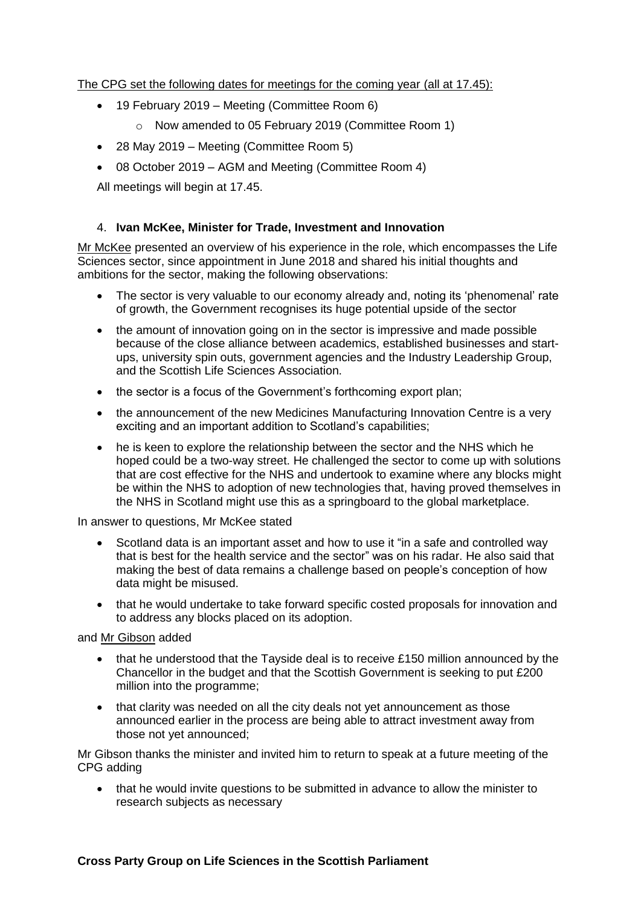The CPG set the following dates for meetings for the coming year (all at 17.45):

- 19 February 2019 Meeting (Committee Room 6)
	- o Now amended to 05 February 2019 (Committee Room 1)
- 28 May 2019 Meeting (Committee Room 5)
- 08 October 2019 AGM and Meeting (Committee Room 4)

All meetings will begin at 17.45.

# 4. **Ivan McKee, Minister for Trade, Investment and Innovation**

Mr McKee presented an overview of his experience in the role, which encompasses the Life Sciences sector, since appointment in June 2018 and shared his initial thoughts and ambitions for the sector, making the following observations:

- The sector is very valuable to our economy already and, noting its 'phenomenal' rate of growth, the Government recognises its huge potential upside of the sector
- the amount of innovation going on in the sector is impressive and made possible because of the close alliance between academics, established businesses and startups, university spin outs, government agencies and the Industry Leadership Group, and the Scottish Life Sciences Association.
- the sector is a focus of the Government's forthcoming export plan;
- the announcement of the new Medicines Manufacturing Innovation Centre is a very exciting and an important addition to Scotland's capabilities;
- he is keen to explore the relationship between the sector and the NHS which he hoped could be a two-way street. He challenged the sector to come up with solutions that are cost effective for the NHS and undertook to examine where any blocks might be within the NHS to adoption of new technologies that, having proved themselves in the NHS in Scotland might use this as a springboard to the global marketplace.

In answer to questions, Mr McKee stated

- Scotland data is an important asset and how to use it "in a safe and controlled way that is best for the health service and the sector" was on his radar. He also said that making the best of data remains a challenge based on people's conception of how data might be misused.
- that he would undertake to take forward specific costed proposals for innovation and to address any blocks placed on its adoption.

and Mr Gibson added

- that he understood that the Tayside deal is to receive £150 million announced by the Chancellor in the budget and that the Scottish Government is seeking to put £200 million into the programme;
- that clarity was needed on all the city deals not vet announcement as those announced earlier in the process are being able to attract investment away from those not yet announced;

Mr Gibson thanks the minister and invited him to return to speak at a future meeting of the CPG adding

• that he would invite questions to be submitted in advance to allow the minister to research subjects as necessary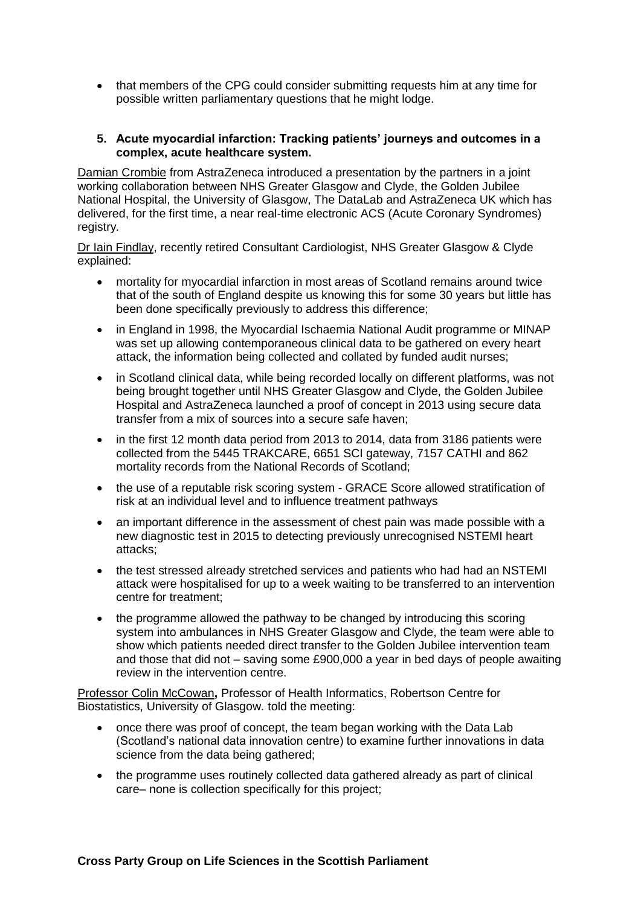• that members of the CPG could consider submitting requests him at any time for possible written parliamentary questions that he might lodge.

#### **5. Acute myocardial infarction: Tracking patients' journeys and outcomes in a complex, acute healthcare system.**

Damian Crombie from AstraZeneca introduced a presentation by the partners in a joint working collaboration between NHS Greater Glasgow and Clyde, the Golden Jubilee National Hospital, the University of Glasgow, The DataLab and AstraZeneca UK which has delivered, for the first time, a near real-time electronic ACS (Acute Coronary Syndromes) registry*.*

Dr Iain Findlay, recently retired Consultant Cardiologist, NHS Greater Glasgow & Clyde explained:

- mortality for myocardial infarction in most areas of Scotland remains around twice that of the south of England despite us knowing this for some 30 years but little has been done specifically previously to address this difference;
- in England in 1998, the Myocardial Ischaemia National Audit programme or MINAP was set up allowing contemporaneous clinical data to be gathered on every heart attack, the information being collected and collated by funded audit nurses;
- in Scotland clinical data, while being recorded locally on different platforms, was not being brought together until NHS Greater Glasgow and Clyde, the Golden Jubilee Hospital and AstraZeneca launched a proof of concept in 2013 using secure data transfer from a mix of sources into a secure safe haven;
- in the first 12 month data period from 2013 to 2014, data from 3186 patients were collected from the 5445 TRAKCARE, 6651 SCI gateway, 7157 CATHI and 862 mortality records from the National Records of Scotland;
- the use of a reputable risk scoring system GRACE Score allowed stratification of risk at an individual level and to influence treatment pathways
- an important difference in the assessment of chest pain was made possible with a new diagnostic test in 2015 to detecting previously unrecognised NSTEMI heart attacks;
- the test stressed already stretched services and patients who had had an NSTEMI attack were hospitalised for up to a week waiting to be transferred to an intervention centre for treatment;
- the programme allowed the pathway to be changed by introducing this scoring system into ambulances in NHS Greater Glasgow and Clyde, the team were able to show which patients needed direct transfer to the Golden Jubilee intervention team and those that did not – saving some £900,000 a year in bed days of people awaiting review in the intervention centre.

Professor Colin McCowan**,** Professor of Health Informatics, Robertson Centre for Biostatistics, University of Glasgow. told the meeting:

- once there was proof of concept, the team began working with the Data Lab (Scotland's national data innovation centre) to examine further innovations in data science from the data being gathered;
- the programme uses routinely collected data gathered already as part of clinical care– none is collection specifically for this project;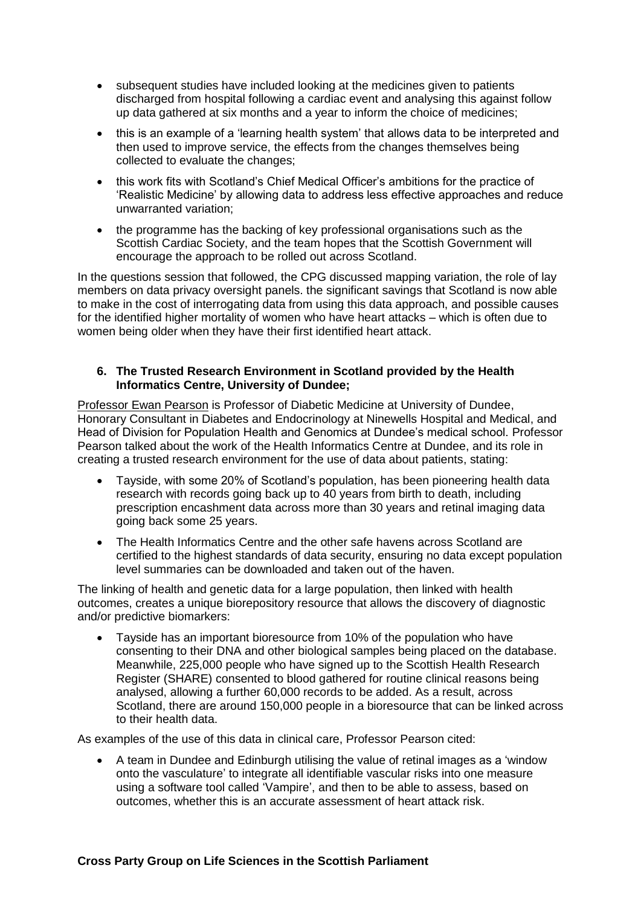- subsequent studies have included looking at the medicines given to patients discharged from hospital following a cardiac event and analysing this against follow up data gathered at six months and a year to inform the choice of medicines;
- this is an example of a 'learning health system' that allows data to be interpreted and then used to improve service, the effects from the changes themselves being collected to evaluate the changes;
- this work fits with Scotland's Chief Medical Officer's ambitions for the practice of 'Realistic Medicine' by allowing data to address less effective approaches and reduce unwarranted variation;
- the programme has the backing of key professional organisations such as the Scottish Cardiac Society, and the team hopes that the Scottish Government will encourage the approach to be rolled out across Scotland.

In the questions session that followed, the CPG discussed mapping variation, the role of lay members on data privacy oversight panels. the significant savings that Scotland is now able to make in the cost of interrogating data from using this data approach, and possible causes for the identified higher mortality of women who have heart attacks – which is often due to women being older when they have their first identified heart attack.

#### **6. The Trusted Research Environment in Scotland provided by the Health Informatics Centre, University of Dundee;**

Professor Ewan Pearson is Professor of Diabetic Medicine at University of Dundee, Honorary Consultant in Diabetes and Endocrinology at Ninewells Hospital and Medical, and Head of Division for Population Health and Genomics at Dundee's medical school. Professor Pearson talked about the work of the Health Informatics Centre at Dundee, and its role in creating a trusted research environment for the use of data about patients, stating:

- Tayside, with some 20% of Scotland's population, has been pioneering health data research with records going back up to 40 years from birth to death, including prescription encashment data across more than 30 years and retinal imaging data going back some 25 years.
- The Health Informatics Centre and the other safe havens across Scotland are certified to the highest standards of data security, ensuring no data except population level summaries can be downloaded and taken out of the haven.

The linking of health and genetic data for a large population, then linked with health outcomes, creates a unique biorepository resource that allows the discovery of diagnostic and/or predictive biomarkers:

• Tayside has an important bioresource from 10% of the population who have consenting to their DNA and other biological samples being placed on the database. Meanwhile, 225,000 people who have signed up to the Scottish Health Research Register (SHARE) consented to blood gathered for routine clinical reasons being analysed, allowing a further 60,000 records to be added. As a result, across Scotland, there are around 150,000 people in a bioresource that can be linked across to their health data.

As examples of the use of this data in clinical care, Professor Pearson cited:

• A team in Dundee and Edinburgh utilising the value of retinal images as a 'window onto the vasculature' to integrate all identifiable vascular risks into one measure using a software tool called 'Vampire', and then to be able to assess, based on outcomes, whether this is an accurate assessment of heart attack risk.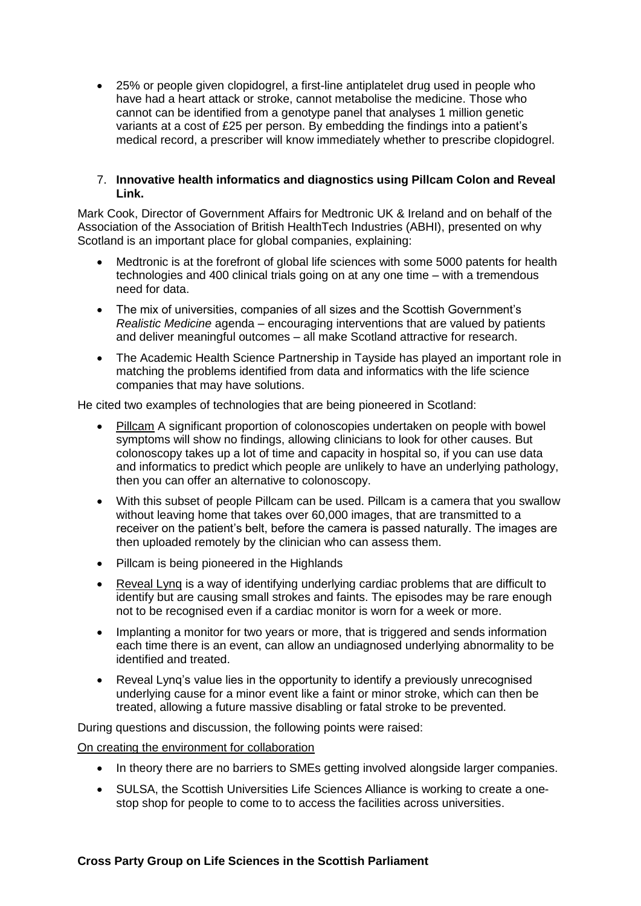• 25% or people given clopidogrel, a first-line antiplatelet drug used in people who have had a heart attack or stroke, cannot metabolise the medicine. Those who cannot can be identified from a genotype panel that analyses 1 million genetic variants at a cost of £25 per person. By embedding the findings into a patient's medical record, a prescriber will know immediately whether to prescribe clopidogrel.

#### 7. **Innovative health informatics and diagnostics using Pillcam Colon and Reveal Link.**

Mark Cook, Director of Government Affairs for Medtronic UK & Ireland and on behalf of the Association of the Association of British HealthTech Industries (ABHI), presented on why Scotland is an important place for global companies, explaining:

- Medtronic is at the forefront of global life sciences with some 5000 patents for health technologies and 400 clinical trials going on at any one time – with a tremendous need for data.
- The mix of universities, companies of all sizes and the Scottish Government's *Realistic Medicine* agenda – encouraging interventions that are valued by patients and deliver meaningful outcomes – all make Scotland attractive for research.
- The Academic Health Science Partnership in Tayside has played an important role in matching the problems identified from data and informatics with the life science companies that may have solutions.

He cited two examples of technologies that are being pioneered in Scotland:

- Pillcam A significant proportion of colonoscopies undertaken on people with bowel symptoms will show no findings, allowing clinicians to look for other causes. But colonoscopy takes up a lot of time and capacity in hospital so, if you can use data and informatics to predict which people are unlikely to have an underlying pathology, then you can offer an alternative to colonoscopy.
- With this subset of people Pillcam can be used. Pillcam is a camera that you swallow without leaving home that takes over 60,000 images, that are transmitted to a receiver on the patient's belt, before the camera is passed naturally. The images are then uploaded remotely by the clinician who can assess them.
- Pillcam is being pioneered in the Highlands
- Reveal Lynq is a way of identifying underlying cardiac problems that are difficult to identify but are causing small strokes and faints. The episodes may be rare enough not to be recognised even if a cardiac monitor is worn for a week or more.
- Implanting a monitor for two years or more, that is triggered and sends information each time there is an event, can allow an undiagnosed underlying abnormality to be identified and treated.
- Reveal Lynq's value lies in the opportunity to identify a previously unrecognised underlying cause for a minor event like a faint or minor stroke, which can then be treated, allowing a future massive disabling or fatal stroke to be prevented.

During questions and discussion, the following points were raised:

On creating the environment for collaboration

- In theory there are no barriers to SMEs getting involved alongside larger companies.
- SULSA, the Scottish Universities Life Sciences Alliance is working to create a onestop shop for people to come to to access the facilities across universities.